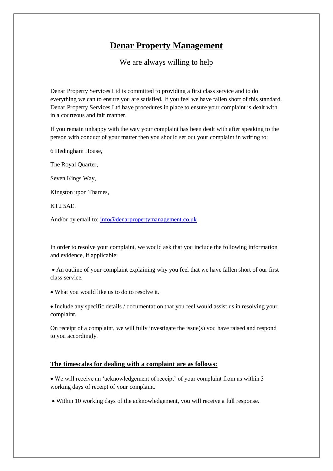## **Denar Property Management**

We are always willing to help

Denar Property Services Ltd is committed to providing a first class service and to do everything we can to ensure you are satisfied. If you feel we have fallen short of this standard. Denar Property Services Ltd have procedures in place to ensure your complaint is dealt with in a courteous and fair manner.

If you remain unhappy with the way your complaint has been dealt with after speaking to the person with conduct of your matter then you should set out your complaint in writing to:

6 Hedingham House,

The Royal Quarter,

Seven Kings Way,

Kingston upon Thames,

KT2 5AE.

And/or by email to: [info@denarpropertymanagement.co.uk](mailto:info@denarpropertymanagement.co.uk)

In order to resolve your complaint, we would ask that you include the following information and evidence, if applicable:

 An outline of your complaint explaining why you feel that we have fallen short of our first class service.

What you would like us to do to resolve it.

 Include any specific details / documentation that you feel would assist us in resolving your complaint.

On receipt of a complaint, we will fully investigate the issue(s) you have raised and respond to you accordingly.

## **The timescales for dealing with a complaint are as follows:**

 We will receive an 'acknowledgement of receipt' of your complaint from us within 3 working days of receipt of your complaint.

Within 10 working days of the acknowledgement, you will receive a full response.